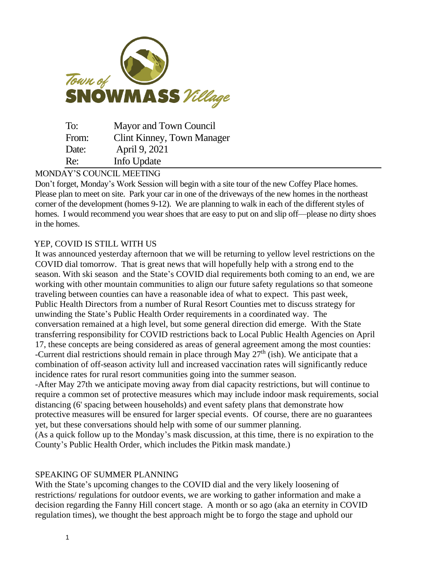

| To:   | Mayor and Town Council     |
|-------|----------------------------|
| From: | Clint Kinney, Town Manager |
| Date: | April 9, 2021              |
| Re:   | Info Update                |

## MONDAY'S COUNCIL MEETING

Don't forget, Monday's Work Session will begin with a site tour of the new Coffey Place homes. Please plan to meet on site. Park your car in one of the driveways of the new homes in the northeast corner of the development (homes 9-12). We are planning to walk in each of the different styles of homes. I would recommend you wear shoes that are easy to put on and slip off—please no dirty shoes in the homes.

## YEP, COVID IS STILL WITH US

It was announced yesterday afternoon that we will be returning to yellow level restrictions on the COVID dial tomorrow. That is great news that will hopefully help with a strong end to the season. With ski season and the State's COVID dial requirements both coming to an end, we are working with other mountain communities to align our future safety regulations so that someone traveling between counties can have a reasonable idea of what to expect. This past week, Public Health Directors from a number of Rural Resort Counties met to discuss strategy for unwinding the State's Public Health Order requirements in a coordinated way. The conversation remained at a high level, but some general direction did emerge. With the State transferring responsibility for COVID restrictions back to Local Public Health Agencies on April 17, these concepts are being considered as areas of general agreement among the most counties: -Current dial restrictions should remain in place through May  $27<sup>th</sup>$  (ish). We anticipate that a combination of off-season activity lull and increased vaccination rates will significantly reduce incidence rates for rural resort communities going into the summer season.

-After May 27th we anticipate moving away from dial capacity restrictions, but will continue to require a common set of protective measures which may include indoor mask requirements, social distancing (6' spacing between households) and event safety plans that demonstrate how protective measures will be ensured for larger special events. Of course, there are no guarantees yet, but these conversations should help with some of our summer planning.

(As a quick follow up to the Monday's mask discussion, at this time, there is no expiration to the County's Public Health Order, which includes the Pitkin mask mandate.)

## SPEAKING OF SUMMER PLANNING

With the State's upcoming changes to the COVID dial and the very likely loosening of restrictions/ regulations for outdoor events, we are working to gather information and make a decision regarding the Fanny Hill concert stage. A month or so ago (aka an eternity in COVID regulation times), we thought the best approach might be to forgo the stage and uphold our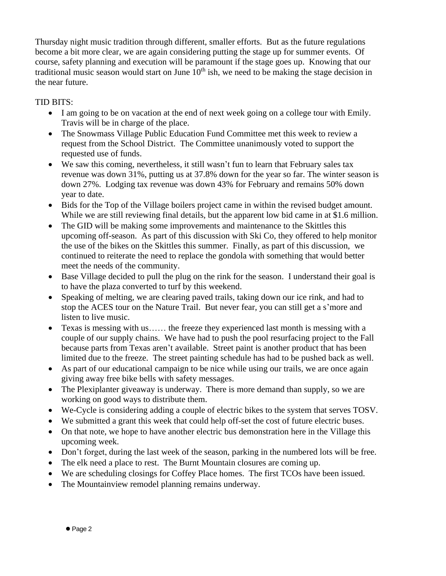Thursday night music tradition through different, smaller efforts. But as the future regulations become a bit more clear, we are again considering putting the stage up for summer events. Of course, safety planning and execution will be paramount if the stage goes up. Knowing that our traditional music season would start on June  $10<sup>th</sup>$  ish, we need to be making the stage decision in the near future.

## TID BITS:

- I am going to be on vacation at the end of next week going on a college tour with Emily. Travis will be in charge of the place.
- The Snowmass Village Public Education Fund Committee met this week to review a request from the School District. The Committee unanimously voted to support the requested use of funds.
- We saw this coming, nevertheless, it still wasn't fun to learn that February sales tax revenue was down 31%, putting us at 37.8% down for the year so far. The winter season is down 27%. Lodging tax revenue was down 43% for February and remains 50% down year to date.
- Bids for the Top of the Village boilers project came in within the revised budget amount. While we are still reviewing final details, but the apparent low bid came in at \$1.6 million.
- The GID will be making some improvements and maintenance to the Skittles this upcoming off-season. As part of this discussion with Ski Co, they offered to help monitor the use of the bikes on the Skittles this summer. Finally, as part of this discussion, we continued to reiterate the need to replace the gondola with something that would better meet the needs of the community.
- Base Village decided to pull the plug on the rink for the season. I understand their goal is to have the plaza converted to turf by this weekend.
- Speaking of melting, we are clearing paved trails, taking down our ice rink, and had to stop the ACES tour on the Nature Trail. But never fear, you can still get a s'more and listen to live music.
- Texas is messing with us…… the freeze they experienced last month is messing with a couple of our supply chains. We have had to push the pool resurfacing project to the Fall because parts from Texas aren't available. Street paint is another product that has been limited due to the freeze. The street painting schedule has had to be pushed back as well.
- As part of our educational campaign to be nice while using our trails, we are once again giving away free bike bells with safety messages.
- The Plexiplanter giveaway is underway. There is more demand than supply, so we are working on good ways to distribute them.
- We-Cycle is considering adding a couple of electric bikes to the system that serves TOSV.
- We submitted a grant this week that could help off-set the cost of future electric buses.
- On that note, we hope to have another electric bus demonstration here in the Village this upcoming week.
- Don't forget, during the last week of the season, parking in the numbered lots will be free.
- The elk need a place to rest. The Burnt Mountain closures are coming up.
- We are scheduling closings for Coffey Place homes. The first TCOs have been issued.
- The Mountainview remodel planning remains underway.